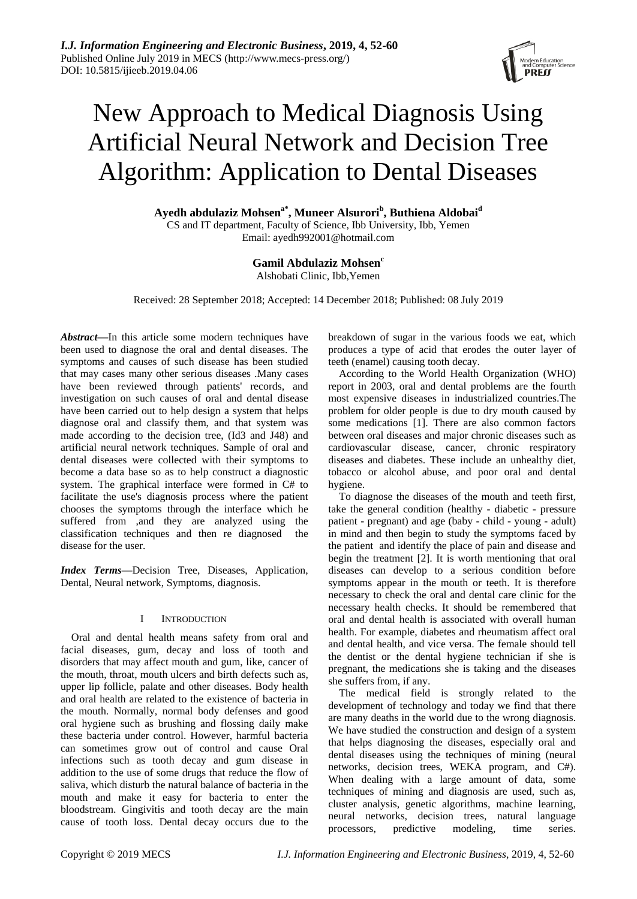

# New Approach to Medical Diagnosis Using Artificial Neural Network and Decision Tree Algorithm: Application to Dental Diseases

**Ayedh abdulaziz Mohsena\* , Muneer Alsurori<sup>b</sup> , Buthiena Aldobai<sup>d</sup>** CS and IT department, Faculty of Science, Ibb University, Ibb, Yemen Email: ayedh992001@hotmail.com

## **Gamil Abdulaziz Mohsen<sup>c</sup>**

Alshobati Clinic, Ibb,Yemen

Received: 28 September 2018; Accepted: 14 December 2018; Published: 08 July 2019

*Abstract—*In this article some modern techniques have been used to diagnose the oral and dental diseases. The symptoms and causes of such disease has been studied that may cases many other serious diseases .Many cases have been reviewed through patients' records, and investigation on such causes of oral and dental disease have been carried out to help design a system that helps diagnose oral and classify them, and that system was made according to the decision tree, (Id3 and J48) and artificial neural network techniques. Sample of oral and dental diseases were collected with their symptoms to become a data base so as to help construct a diagnostic system. The graphical interface were formed in C# to facilitate the use's diagnosis process where the patient chooses the symptoms through the interface which he suffered from ,and they are analyzed using the classification techniques and then re diagnosed the disease for the user.

*Index Terms—*Decision Tree, Diseases, Application, Dental, Neural network, Symptoms, diagnosis.

#### I INTRODUCTION

Oral and dental health means safety from oral and facial diseases, gum, decay and loss of tooth and disorders that may affect mouth and gum, like, cancer of the mouth, throat, mouth ulcers and birth defects such as, upper lip follicle, palate and other diseases. Body health and oral health are related to the existence of bacteria in the mouth. Normally, normal body defenses and good oral hygiene such as brushing and flossing daily make these bacteria under control. However, harmful bacteria can sometimes grow out of control and cause Oral infections such as tooth decay and gum disease in addition to the use of some drugs that reduce the flow of saliva, which disturb the natural balance of bacteria in the mouth and make it easy for bacteria to enter the bloodstream. Gingivitis and tooth decay are the main cause of tooth loss. Dental decay occurs due to the

breakdown of sugar in the various foods we eat, which produces a type of acid that erodes the outer layer of teeth (enamel) causing tooth decay.

According to the World Health Organization (WHO) report in 2003, oral and dental problems are the fourth most expensive diseases in industrialized countries.The problem for older people is due to dry mouth caused by some medications [1]. There are also common factors between oral diseases and major chronic diseases such as cardiovascular disease, cancer, chronic respiratory diseases and diabetes. These include an unhealthy diet, tobacco or alcohol abuse, and poor oral and dental hygiene.

To diagnose the diseases of the mouth and teeth first, take the general condition (healthy - diabetic - pressure patient - pregnant) and age (baby - child - young - adult) in mind and then begin to study the symptoms faced by the patient and identify the place of pain and disease and begin the treatment [2]. It is worth mentioning that oral diseases can develop to a serious condition before symptoms appear in the mouth or teeth. It is therefore necessary to check the oral and dental care clinic for the necessary health checks. It should be remembered that oral and dental health is associated with overall human health. For example, diabetes and rheumatism affect oral and dental health, and vice versa. The female should tell the dentist or the dental hygiene technician if she is pregnant, the medications she is taking and the diseases she suffers from, if any.

The medical field is strongly related to the development of technology and today we find that there are many deaths in the world due to the wrong diagnosis. We have studied the construction and design of a system that helps diagnosing the diseases, especially oral and dental diseases using the techniques of mining (neural networks, decision trees, WEKA program, and C#). When dealing with a large amount of data, some techniques of mining and diagnosis are used, such as, cluster analysis, genetic algorithms, machine learning, neural networks, decision trees, natural language processors, predictive modeling, time series.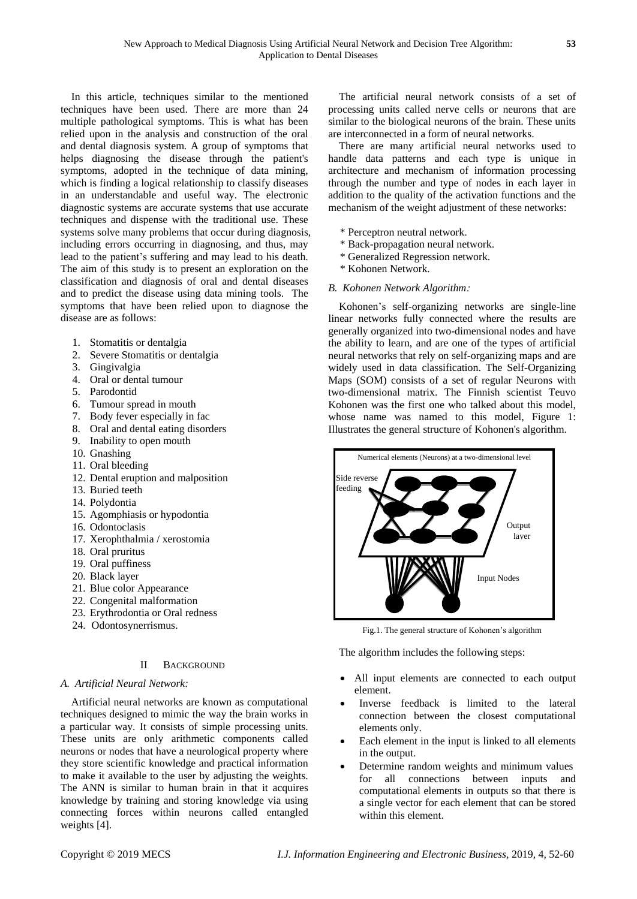In this article, techniques similar to the mentioned techniques have been used. There are more than 24 multiple pathological symptoms. This is what has been relied upon in the analysis and construction of the oral and dental diagnosis system. A group of symptoms that helps diagnosing the disease through the patient's symptoms, adopted in the technique of data mining, which is finding a logical relationship to classify diseases in an understandable and useful way. The electronic diagnostic systems are accurate systems that use accurate techniques and dispense with the traditional use. These systems solve many problems that occur during diagnosis, including errors occurring in diagnosing, and thus, may lead to the patient's suffering and may lead to his death. The aim of this study is to present an exploration on the classification and diagnosis of oral and dental diseases and to predict the disease using data mining tools. The symptoms that have been relied upon to diagnose the disease are as follows:

- 1. Stomatitis or dentalgia
- 2. Severe Stomatitis or dentalgia
- 3. Gingivalgia
- 4. Oral or dental tumour
- 5. Parodontid
- 6. Tumour spread in mouth
- 7. Body fever especially in fac
- 8. Oral and dental eating disorders
- 9. Inability to open mouth
- 10. Gnashing
- 11. Oral bleeding
- 12. Dental eruption and malposition
- 13. Buried teeth
- 14. Polydontia
- 15. Agomphiasis or hypodontia
- 16. Odontoclasis
- 17. Xerophthalmia / xerostomia
- 18. Oral pruritus
- 19. Oral puffiness
- 20. Black layer
- 21. Blue color Appearance
- 22. Congenital malformation
- 23. Erythrodontia or Oral redness
- 24. Odontosynerrismus.

## II BACKGROUND

## *A. Artificial Neural Network:*

Artificial neural networks are known as computational techniques designed to mimic the way the brain works in a particular way. It consists of simple processing units. These units are only arithmetic components called neurons or nodes that have a neurological property where they store scientific knowledge and practical information to make it available to the user by adjusting the weights. The ANN is similar to human brain in that it acquires knowledge by training and storing knowledge via using connecting forces within neurons called entangled weights [4].

The artificial neural network consists of a set of processing units called nerve cells or neurons that are similar to the biological neurons of the brain. These units are interconnected in a form of neural networks.

There are many artificial neural networks used to handle data patterns and each type is unique in architecture and mechanism of information processing through the number and type of nodes in each layer in addition to the quality of the activation functions and the mechanism of the weight adjustment of these networks:

- \* Perceptron neutral network.
- \* Back-propagation neural network.
- \* Generalized Regression network.
- \* Kohonen Network.

#### *B. Kohonen Network Algorithm*:

Kohonen's self-organizing networks are single-line linear networks fully connected where the results are generally organized into two-dimensional nodes and have the ability to learn, and are one of the types of artificial neural networks that rely on self-organizing maps and are widely used in data classification. The Self-Organizing Maps (SOM) consists of a set of regular Neurons with two-dimensional matrix. The Finnish scientist Teuvo Kohonen was the first one who talked about this model, whose name was named to this model. Figure 1: Illustrates the general structure of Kohonen's algorithm.



Fig.1. The general structure of Kohonen's algorithm

The algorithm includes the following steps:

- All input elements are connected to each output element.
- Inverse feedback is limited to the lateral connection between the closest computational elements only.
- Each element in the input is linked to all elements in the output.
- Determine random weights and minimum values for all connections between inputs and computational elements in outputs so that there is a single vector for each element that can be stored within this element.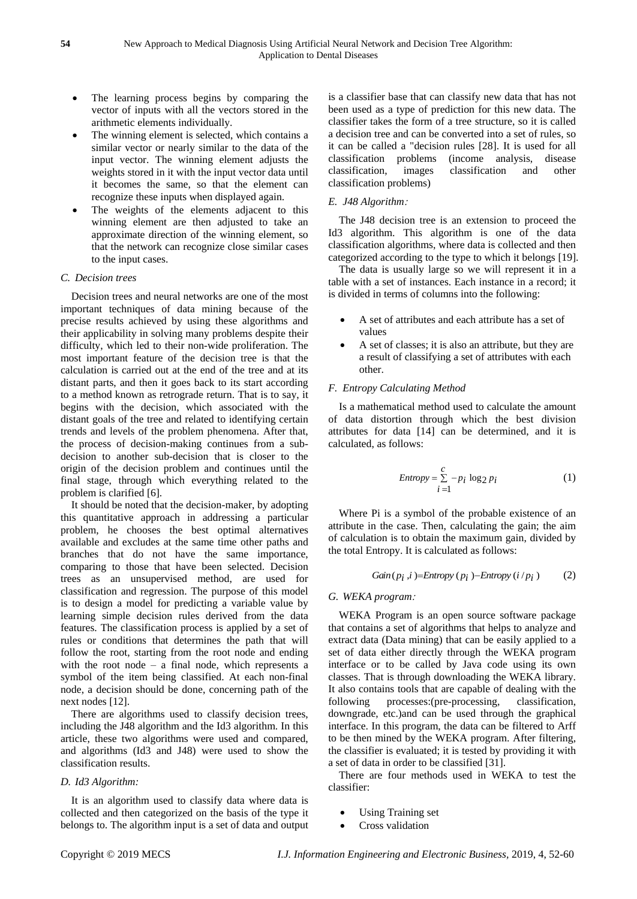- The learning process begins by comparing the vector of inputs with all the vectors stored in the arithmetic elements individually.
- The winning element is selected, which contains a similar vector or nearly similar to the data of the input vector. The winning element adjusts the weights stored in it with the input vector data until it becomes the same, so that the element can recognize these inputs when displayed again.
- The weights of the elements adjacent to this winning element are then adjusted to take an approximate direction of the winning element, so that the network can recognize close similar cases to the input cases.

#### *C. Decision trees*

Decision trees and neural networks are one of the most important techniques of data mining because of the precise results achieved by using these algorithms and their applicability in solving many problems despite their difficulty, which led to their non-wide proliferation. The most important feature of the decision tree is that the calculation is carried out at the end of the tree and at its distant parts, and then it goes back to its start according to a method known as retrograde return. That is to say, it begins with the decision, which associated with the distant goals of the tree and related to identifying certain trends and levels of the problem phenomena. After that, the process of decision-making continues from a subdecision to another sub-decision that is closer to the origin of the decision problem and continues until the final stage, through which everything related to the problem is clarified [6].

It should be noted that the decision-maker, by adopting this quantitative approach in addressing a particular problem, he chooses the best optimal alternatives available and excludes at the same time other paths and branches that do not have the same importance, comparing to those that have been selected. Decision trees as an unsupervised method, are used for classification and regression. The purpose of this model is to design a model for predicting a variable value by learning simple decision rules derived from the data features. The classification process is applied by a set of rules or conditions that determines the path that will follow the root, starting from the root node and ending with the root node – a final node, which represents a symbol of the item being classified. At each non-final node, a decision should be done, concerning path of the next nodes [12].

There are algorithms used to classify decision trees, including the J48 algorithm and the Id3 algorithm. In this article, these two algorithms were used and compared, and algorithms (Id3 and J48) were used to show the classification results.

## *D. Id3 Algorithm:*

It is an algorithm used to classify data where data is collected and then categorized on the basis of the type it belongs to. The algorithm input is a set of data and output is a classifier base that can classify new data that has not been used as a type of prediction for this new data. The classifier takes the form of a tree structure, so it is called a decision tree and can be converted into a set of rules, so it can be called a "decision rules [28]. It is used for all classification problems (income analysis, disease classification, images classification and other classification problems)

## *E. J48 Algorithm*:

The J48 decision tree is an extension to proceed the Id3 algorithm. This algorithm is one of the data classification algorithms, where data is collected and then categorized according to the type to which it belongs [19].

The data is usually large so we will represent it in a table with a set of instances. Each instance in a record; it is divided in terms of columns into the following:

- A set of attributes and each attribute has a set of values
- A set of classes; it is also an attribute, but they are a result of classifying a set of attributes with each other.

## *F. Entropy Calculating Method*

Is a mathematical method used to calculate the amount of data distortion through which the best division attributes for data [14] can be determined, and it is calculated, as follows:

$$
Entropy = \sum_{i=1}^{c} -p_i \log_2 p_i \tag{1}
$$

Where Pi is a symbol of the probable existence of an attribute in the case. Then, calculating the gain; the aim of calculation is to obtain the maximum gain, divided by the total Entropy. It is calculated as follows:

$$
Gain(p_i, i) = Entropy(p_i) - Entropy(i/p_i)
$$
 (2)

#### *G. WEKA program*:

WEKA Program is an open source software package that contains a set of algorithms that helps to analyze and extract data (Data mining) that can be easily applied to a set of data either directly through the WEKA program interface or to be called by Java code using its own classes. That is through downloading the WEKA library. It also contains tools that are capable of dealing with the following processes:(pre-processing, classification, downgrade, etc.)and can be used through the graphical interface. In this program, the data can be filtered to Arff to be then mined by the WEKA program. After filtering, the classifier is evaluated; it is tested by providing it with a set of data in order to be classified [31].

There are four methods used in WEKA to test the classifier:

- Using Training set
- Cross validation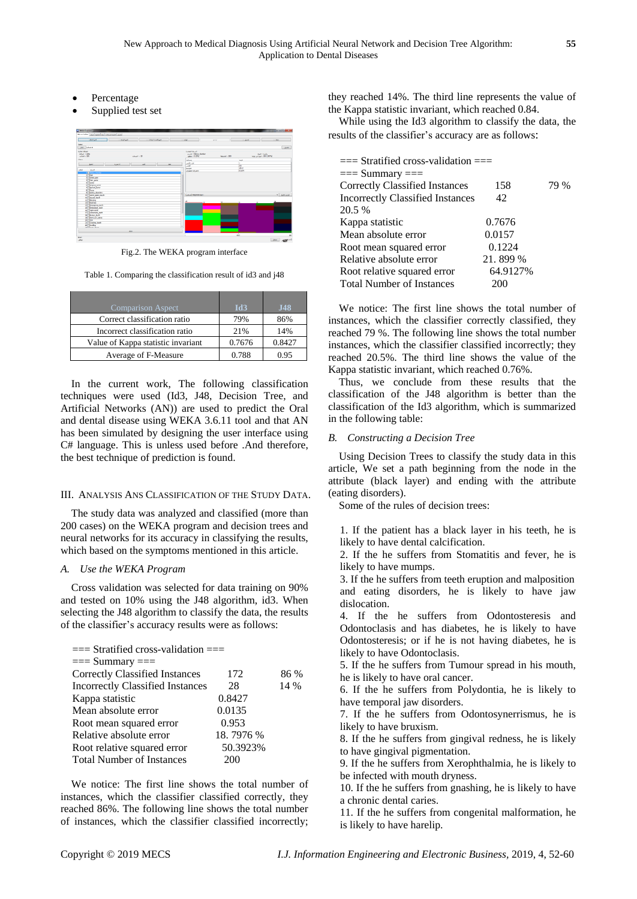- Percentage
- Supplied test set



Fig.2. The WEKA program interface

Table 1. Comparing the classification result of id3 and j48

| <b>Comparison Aspect</b>           | Id3    | <b>J48</b> |
|------------------------------------|--------|------------|
| Correct classification ratio       | 79%    | 86%        |
| Incorrect classification ratio     | 21%    | 14%        |
| Value of Kappa statistic invariant | 0.7676 | 0.8427     |
| Average of F-Measure               | 0.788  | 0.95       |

In the current work, The following classification techniques were used (Id3, J48, Decision Tree, and Artificial Networks (AN)) are used to predict the Oral and dental disease using WEKA 3.6.11 tool and that AN has been simulated by designing the user interface using C# language. This is unless used before .And therefore, the best technique of prediction is found.

## III. ANALYSIS ANS CLASSIFICATION OF THE STUDY DATA.

The study data was analyzed and classified (more than 200 cases) on the WEKA program and decision trees and neural networks for its accuracy in classifying the results, which based on the symptoms mentioned in this article.

## *A. Use the WEKA Program*

Cross validation was selected for data training on 90% and tested on 10% using the J48 algorithm, id3. When selecting the J48 algorithm to classify the data, the results of the classifier's accuracy results were as follows:

| $==$ Stratified cross-validation $==$   |           |      |
|-----------------------------------------|-----------|------|
| $==$ Summary $==$                       |           |      |
| <b>Correctly Classified Instances</b>   | 172       | 86 % |
| <b>Incorrectly Classified Instances</b> | 28        | 14 % |
| Kappa statistic                         | 0.8427    |      |
| Mean absolute error                     | 0.0135    |      |
| Root mean squared error                 | 0.953     |      |
| Relative absolute error                 | 18.7976 % |      |
| Root relative squared error             | 50.3923%  |      |
| <b>Total Number of Instances</b>        | 200       |      |
|                                         |           |      |

We notice: The first line shows the total number of instances, which the classifier classified correctly, they reached 86%. The following line shows the total number of instances, which the classifier classified incorrectly; they reached 14%. The third line represents the value of the Kappa statistic invariant, which reached 0.84.

While using the Id3 algorithm to classify the data, the results of the classifier's accuracy are as follows:

| $==$ Stratified cross-validation $==$   |          |      |
|-----------------------------------------|----------|------|
| $==$ Summary $==$                       |          |      |
| <b>Correctly Classified Instances</b>   | 158      | 79 % |
| <b>Incorrectly Classified Instances</b> | 42       |      |
| 20.5 %                                  |          |      |
| Kappa statistic                         | 0.7676   |      |
| Mean absolute error                     | 0.0157   |      |
| Root mean squared error                 | 0.1224   |      |
| Relative absolute error                 | 21.899 % |      |
| Root relative squared error             | 64.9127% |      |
| <b>Total Number of Instances</b>        | 200      |      |

We notice: The first line shows the total number of instances, which the classifier correctly classified, they reached 79 %. The following line shows the total number instances, which the classifier classified incorrectly; they reached 20.5%. The third line shows the value of the Kappa statistic invariant, which reached 0.76%.

Thus, we conclude from these results that the classification of the J48 algorithm is better than the classification of the Id3 algorithm, which is summarized in the following table:

## *B. Constructing a Decision Tree*

Using Decision Trees to classify the study data in this article, We set a path beginning from the node in the attribute (black layer) and ending with the attribute (eating disorders).

Some of the rules of decision trees:

1. If the patient has a black layer in his teeth, he is likely to have dental calcification.

2. If the he suffers from Stomatitis and fever, he is likely to have mumps.

3. If the he suffers from teeth eruption and malposition and eating disorders, he is likely to have jaw dislocation.

4. If the he suffers from Odontosteresis and Odontoclasis and has diabetes, he is likely to have Odontosteresis; or if he is not having diabetes, he is likely to have Odontoclasis.

5. If the he suffers from Tumour spread in his mouth, he is likely to have oral cancer.

6. If the he suffers from Polydontia, he is likely to have temporal jaw disorders.

7. If the he suffers from Odontosynerrismus, he is likely to have bruxism.

8. If the he suffers from gingival redness, he is likely to have gingival pigmentation.

9. If the he suffers from Xerophthalmia, he is likely to be infected with mouth dryness.

10. If the he suffers from gnashing, he is likely to have a chronic dental caries.

11. If the he suffers from congenital malformation, he is likely to have harelip.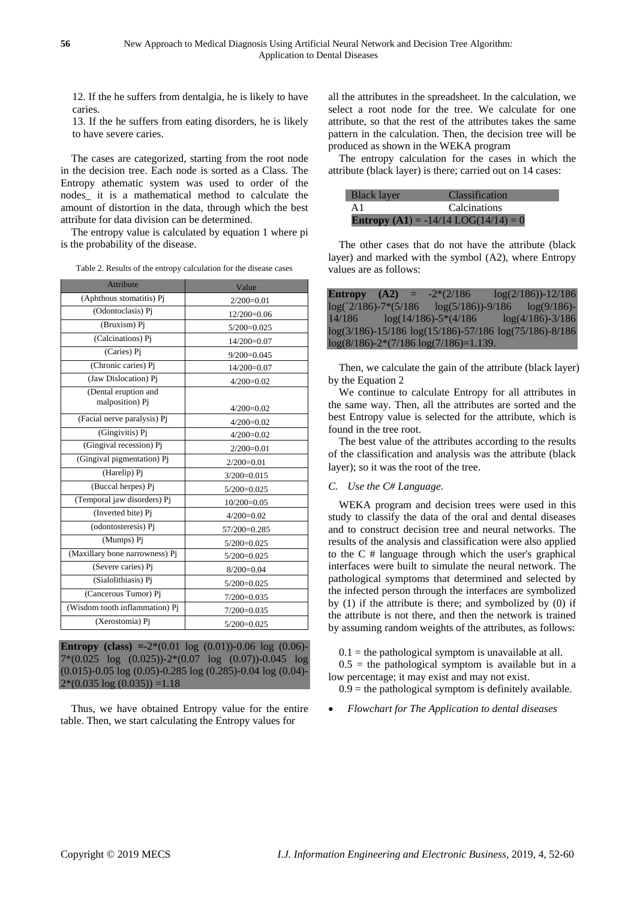12. If the he suffers from dentalgia, he is likely to have caries.

13. If the he suffers from eating disorders, he is likely to have severe caries.

The cases are categorized, starting from the root node in the decision tree. Each node is sorted as a Class. The Entropy athematic system was used to order of the nodes\_ it is a mathematical method to calculate the amount of distortion in the data, through which the best attribute for data division can be determined.

The entropy value is calculated by equation 1 where pi is the probability of the disease.

| Table 2. Results of the entropy calculation for the disease cases |  |
|-------------------------------------------------------------------|--|
|-------------------------------------------------------------------|--|

| <b>Attribute</b>                | Value         |
|---------------------------------|---------------|
| (Aphthous stomatitis) Pj        | $2/200=0.01$  |
| (Odontoclasis) Pi               | $12/200=0.06$ |
| (Bruxism) Pi                    | $5/200=0.025$ |
| (Calcinations) Pi               | $14/200=0.07$ |
| (Caries) Pi                     | $9/200=0.045$ |
| (Chronic caries) Pi             | 14/200=0.07   |
| (Jaw Dislocation) Pi            | $4/200=0.02$  |
| (Dental eruption and            |               |
| malposition) Pj                 | $4/200=0.02$  |
| (Facial nerve paralysis) Pj     | $4/200=0.02$  |
| (Gingivitis) Pj                 | $4/200=0.02$  |
| (Gingival recession) Pj         | $2/200=0.01$  |
| (Gingival pigmentation) Pi      | $2/200=0.01$  |
| (Harelip) Pj                    | $3/200=0.015$ |
| (Buccal herpes) Pj              | $5/200=0.025$ |
| (Temporal jaw disorders) Pj     | $10/200=0.05$ |
| (Inverted bite) Pi              | $4/200=0.02$  |
| (odontosteresis) Pj             | 57/200=0.285  |
| (Mumps) Pj                      | $5/200=0.025$ |
| (Maxillary bone narrowness) Pj  | $5/200=0.025$ |
| (Severe caries) $\overline{Pj}$ | $8/200=0.04$  |
| (Sialolithiasis) Pi             | $5/200=0.025$ |
| (Cancerous Tumor) Pj            | $7/200=0.035$ |
| (Wisdom tooth inflammation) Pj  | $7/200=0.035$ |
| (Xerostomia) Pj                 | $5/200=0.025$ |

**Entropy** (class)  $=2*(0.01 \log (0.01)) - 0.06 \log (0.06) -$ 7\*(0.025 log (0.025))-2\*(0.07 log (0.07))-0.045 log (0.015)-0.05 log (0.05)-0.285 log (0.285)-0.04 log (0.04)-  $2*(0.035 \log (0.035)) = 1.18$ 

Thus, we have obtained Entropy value for the entire table. Then, we start calculating the Entropy values for

all the attributes in the spreadsheet. In the calculation, we select a root node for the tree. We calculate for one attribute, so that the rest of the attributes takes the same pattern in the calculation. Then, the decision tree will be produced as shown in the WEKA program

The entropy calculation for the cases in which the attribute (black layer) is there; carried out on 14 cases:

| <b>Black layer</b> | <b>Classification</b>                         |
|--------------------|-----------------------------------------------|
| A1                 | <b>Calcinations</b>                           |
|                    | <b>Entropy</b> (A1) = $-14/14$ LOG(14/14) = 0 |

The other cases that do not have the attribute (black layer) and marked with the symbol (A2), where Entropy values are as follows:

| <b>Entropy</b> $(A2) =$                      |  | $-2*(2/186)$              | $log(2/186)$ -12/186                                           |
|----------------------------------------------|--|---------------------------|----------------------------------------------------------------|
| $\log(2/186)$ -7* $(5/186)$                  |  |                           | $log(5/186)) - 9/186$ $log(9/186) -$                           |
| 14/186                                       |  | $log(14/186) - 5*(4/186)$ | $log(4/186) - 3/186$                                           |
|                                              |  |                           | $log(3/186) - 15/186 log(15/186) - 57/186 log(75/186) - 8/186$ |
| $log(8/186) - 2*(7/186 log(7/186)) = 1.139.$ |  |                           |                                                                |

Then, we calculate the gain of the attribute (black layer) by the Equation 2

We continue to calculate Entropy for all attributes in the same way. Then, all the attributes are sorted and the best Entropy value is selected for the attribute, which is found in the tree root.

The best value of the attributes according to the results of the classification and analysis was the attribute (black layer); so it was the root of the tree.

#### *C. Use the C# Language.*

WEKA program and decision trees were used in this study to classify the data of the oral and dental diseases and to construct decision tree and neural networks. The results of the analysis and classification were also applied to the C # language through which the user's graphical interfaces were built to simulate the neural network. The pathological symptoms that determined and selected by the infected person through the interfaces are symbolized by (1) if the attribute is there; and symbolized by (0) if the attribute is not there, and then the network is trained by assuming random weights of the attributes, as follows:

 $0.1$  = the pathological symptom is unavailable at all.

 $0.5$  = the pathological symptom is available but in a low percentage; it may exist and may not exist.

 $0.9$  = the pathological symptom is definitely available.

*Flowchart for The Application to dental diseases*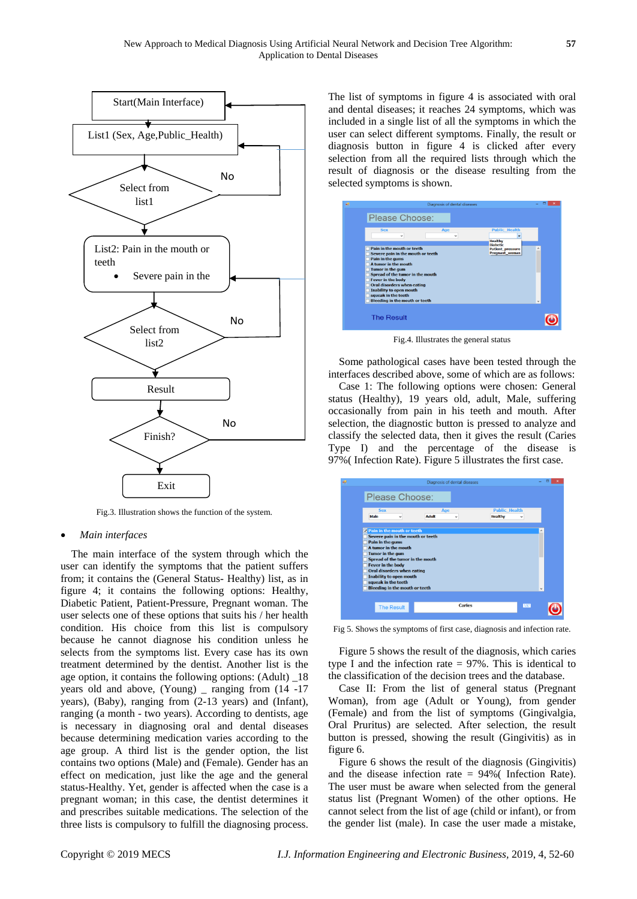

Fig.3. Illustration shows the function of the system.

#### *Main interfaces*

The main interface of the system through which the user can identify the symptoms that the patient suffers from; it contains the (General Status- Healthy) list, as in figure 4; it contains the following options: Healthy, Diabetic Patient, Patient-Pressure, Pregnant woman. The user selects one of these options that suits his / her health condition. His choice from this list is compulsory because he cannot diagnose his condition unless he selects from the symptoms list. Every case has its own treatment determined by the dentist. Another list is the age option, it contains the following options: (Adult) \_18 years old and above, (Young) \_ ranging from (14 -17 years), (Baby), ranging from (2-13 years) and (Infant), ranging (a month - two years). According to dentists, age is necessary in diagnosing oral and dental diseases because determining medication varies according to the age group. A third list is the gender option, the list contains two options (Male) and (Female). Gender has an effect on medication, just like the age and the general status-Healthy. Yet, gender is affected when the case is a pregnant woman; in this case, the dentist determines it and prescribes suitable medications. The selection of the three lists is compulsory to fulfill the diagnosing process.

The list of symptoms in figure 4 is associated with oral and dental diseases; it reaches 24 symptoms, which was included in a single list of all the symptoms in which the user can select different symptoms. Finally, the result or diagnosis button in figure 4 is clicked after every selection from all the required lists through which the result of diagnosis or the disease resulting from the selected symptoms is shown.

| ga. |                                                                                                                                                                                                                                                                                                                                        | Diagnosis of dental diseases |                                                              |   |  |
|-----|----------------------------------------------------------------------------------------------------------------------------------------------------------------------------------------------------------------------------------------------------------------------------------------------------------------------------------------|------------------------------|--------------------------------------------------------------|---|--|
|     | Please Choose:                                                                                                                                                                                                                                                                                                                         |                              |                                                              |   |  |
|     | <b>Sex</b><br>$\checkmark$                                                                                                                                                                                                                                                                                                             | Age<br>$\checkmark$          | <b>Public Health</b><br>$\ddot{}$<br>Healthy                 |   |  |
|     | Pain in the mouth or teeth<br>Severe pain in the mouth or teeth<br>Pain in the gums<br>A tumor in the mouth<br><b>Tumor in the gum</b><br>Spread of the tumor in the mouth<br><b>Fever in the body</b><br>Oral disorders when eating<br><b>Inability to open mouth</b><br>squeak in the teeth<br><b>Bleeding in the mouth or teeth</b> |                              | <b>Diabetic</b><br><b>Patient pressure</b><br>Pregnant woman | ۸ |  |
|     | <b>The Result</b>                                                                                                                                                                                                                                                                                                                      |                              |                                                              |   |  |

Fig.4. Illustrates the general status

Some pathological cases have been tested through the interfaces described above, some of which are as follows:

Case 1: The following options were chosen: General status (Healthy), 19 years old, adult, Male, suffering occasionally from pain in his teeth and mouth. After selection, the diagnostic button is pressed to analyze and classify the selected data, then it gives the result (Caries Type I) and the percentage of the disease is 97%( Infection Rate). Figure 5 illustrates the first case.

| ga. |                                                                                                                                                                                                                                                                                                                                   | Diagnosis of dental diseases        |                                        |   |
|-----|-----------------------------------------------------------------------------------------------------------------------------------------------------------------------------------------------------------------------------------------------------------------------------------------------------------------------------------|-------------------------------------|----------------------------------------|---|
|     | Please Choose:                                                                                                                                                                                                                                                                                                                    |                                     |                                        |   |
|     | <b>Sex</b><br>Male<br>$\checkmark$                                                                                                                                                                                                                                                                                                | Age<br><b>Adult</b><br>$\checkmark$ | <b>Public Health</b><br><b>Healthy</b> |   |
|     | <b>Z</b> Pain in the mouth or teeth<br>Severe pain in the mouth or teeth<br>Pain in the gums<br>A tumor in the mouth<br>Tumor in the gum<br>Spread of the tumor in the mouth<br>Fever in the body<br><b>Oral disorders when eating</b><br>Inability to open mouth<br>squeak in the teeth<br><b>Bleeding in the mouth or teeth</b> |                                     |                                        | ۸ |
|     | <b>The Result</b>                                                                                                                                                                                                                                                                                                                 | <b>Caries</b>                       | 757                                    |   |

Fig 5. Shows the symptoms of first case, diagnosis and infection rate.

Figure 5 shows the result of the diagnosis, which caries type I and the infection rate = 97%. This is identical to the classification of the decision trees and the database.

Case II: From the list of general status (Pregnant Woman), from age (Adult or Young), from gender (Female) and from the list of symptoms (Gingivalgia, Oral Pruritus) are selected. After selection, the result button is pressed, showing the result (Gingivitis) as in figure 6.

Figure 6 shows the result of the diagnosis (Gingivitis) and the disease infection rate = 94%( Infection Rate). The user must be aware when selected from the general status list (Pregnant Women) of the other options. He cannot select from the list of age (child or infant), or from the gender list (male). In case the user made a mistake,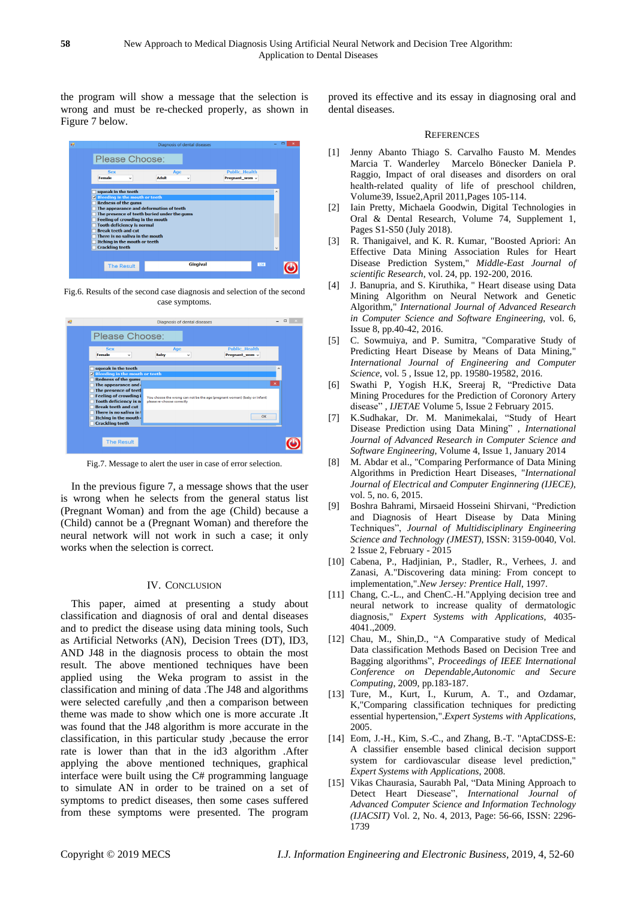the program will show a message that the selection is wrong and must be re-checked properly, as shown in Figure 7 below.

|                                                                                                                                                                                                                                                                                                                                                     | Diagnosis of dental diseases                |                                        | - |  |
|-----------------------------------------------------------------------------------------------------------------------------------------------------------------------------------------------------------------------------------------------------------------------------------------------------------------------------------------------------|---------------------------------------------|----------------------------------------|---|--|
| Please Choose:                                                                                                                                                                                                                                                                                                                                      |                                             |                                        |   |  |
| <b>Sex</b><br><b>Female</b><br>$\checkmark$                                                                                                                                                                                                                                                                                                         | Age<br><b>Adult</b><br>٧                    | <b>Public Health</b><br>Pregnant_wom < |   |  |
| squeak in the teeth<br><b>E</b> Bleeding in the mouth or teeth<br><b>Redness of the gums</b><br>The appearance and deformation of teeth<br><b>Feeling of crowding in the mouth</b><br><b>Tooth deficiency is normal</b><br><b>Break teeth and cut</b><br>There is no saliva in the mouth<br>Itching in the mouth or teeth<br><b>Crackling teeth</b> | The presence of teeth buried under the gums |                                        | Α |  |
| <b>The Result</b>                                                                                                                                                                                                                                                                                                                                   | <b>Gingival</b>                             | 2341                                   |   |  |

Fig.6. Results of the second case diagnosis and selection of the second case symptoms.

| W. |                                                                                                                                    | Diagnosis of dental diseases |                                                                           |                       |  |
|----|------------------------------------------------------------------------------------------------------------------------------------|------------------------------|---------------------------------------------------------------------------|-----------------------|--|
|    | Please Choose:                                                                                                                     |                              |                                                                           |                       |  |
|    | <b>Sex</b><br><b>Female</b><br>v                                                                                                   | Age<br><b>Baby</b><br>v      | <b>Public Health</b><br>Pregnant_wom v                                    |                       |  |
|    | squeak in the teeth<br><b>E</b> Bleeding in the mouth or teeth<br><b>Redness of the gums</b>                                       |                              |                                                                           | $\lambda$             |  |
|    | The appearance and<br>The presence of teet<br><b>Feeling of crowding i</b><br>Tooth deficiency is no<br><b>Break teeth and cut</b> | please re-choose correctly   | You choose the wrong can not be the age (pregnant woman) (baby or infant) | $\boldsymbol{\times}$ |  |
|    | There is no saliva in f<br>Itching in the mouth<br><b>Crackling teeth</b>                                                          |                              | OK                                                                        |                       |  |
|    | <b>The Result</b>                                                                                                                  |                              |                                                                           |                       |  |

Fig.7. Message to alert the user in case of error selection.

In the previous figure 7, a message shows that the user is wrong when he selects from the general status list (Pregnant Woman) and from the age (Child) because a (Child) cannot be a (Pregnant Woman) and therefore the neural network will not work in such a case; it only works when the selection is correct.

#### IV. CONCLUSION

This paper, aimed at presenting a study about classification and diagnosis of oral and dental diseases and to predict the disease using data mining tools, Such as Artificial Networks (AN), Decision Trees (DT), ID3, AND J48 in the diagnosis process to obtain the most result. The above mentioned techniques have been applied using the Weka program to assist in the classification and mining of data .The J48 and algorithms were selected carefully ,and then a comparison between theme was made to show which one is more accurate .It was found that the J48 algorithm is more accurate in the classification, in this particular study ,because the error rate is lower than that in the id3 algorithm .After applying the above mentioned techniques, graphical interface were built using the C# programming language to simulate AN in order to be trained on a set of symptoms to predict diseases, then some cases suffered from these symptoms were presented. The program proved its effective and its essay in diagnosing oral and dental diseases.

#### **REFERENCES**

- [1] Jenny Abanto Thiago S. Carvalho Fausto M. Mendes Marcia T. Wanderley Marcelo Bönecker Daniela P. Raggio, Impact of oral diseases and disorders on oral health-related quality of life of preschool children, Volume39, Issue2,April 2011,Pages 105-114.
- [2] Iain Pretty, Michaela Goodwin, Digital Technologies in Oral & Dental Research, Volume 74, Supplement 1, Pages S1-S50 (July 2018).
- [3] R. Thanigaivel, and K. R. Kumar, "Boosted Apriori: An Effective Data Mining Association Rules for Heart Disease Prediction System," *Middle-East Journal of scientific Research*, vol. 24, pp. 192-200, 2016.
- [4] J. Banupria, and S. Kiruthika, " Heart disease using Data Mining Algorithm on Neural Network and Genetic Algorithm," *International Journal of Advanced Research in Computer Science and Software Engineering*, vol. 6, Issue 8, pp.40-42, 2016.
- [5] C. Sowmuiya, and P. Sumitra, "Comparative Study of Predicting Heart Disease by Means of Data Mining," *International Journal of Engineering and Computer Science*, vol. 5 , Issue 12, pp. 19580-19582, 2016.
- [6] Swathi P, Yogish H.K, Sreeraj R, "Predictive Data Mining Procedures for the Prediction of Coronory Artery disease" , *IJETAE* Volume 5, Issue 2 February 2015.
- [7] K.Sudhakar, Dr. M. Manimekalai, "Study of Heart Disease Prediction using Data Mining" , *International Journal of Advanced Research in Computer Science and Software Engineering*, Volume 4, Issue 1, January 2014
- [8] M. Abdar et al., "Comparing Performance of Data Mining Algorithms in Prediction Heart Diseases, "*International Journal of Electrical and Computer Enginnering (IJECE)*, vol. 5, no. 6, 2015.
- [9] Boshra Bahrami, Mirsaeid Hosseini Shirvani, "Prediction and Diagnosis of Heart Disease by Data Mining Techniques", *Journal of Multidisciplinary Engineering Science and Technology (JMEST)*, ISSN: 3159-0040, Vol. 2 Issue 2, February - 2015
- [10] Cabena, P., Hadjinian, P., Stadler, R., Verhees, J. and Zanasi, A."Discovering data mining: From concept to implementation,".*New Jersey: Prentice Hall*, 1997.
- [11] Chang, C.-L., and ChenC.-H."Applying decision tree and neural network to increase quality of dermatologic diagnosis," *Expert Systems with Applications*, 4035- 4041.,2009.
- [12] Chau, M., Shin, D., "A Comparative study of Medical Data classification Methods Based on Decision Tree and Bagging algorithms", *Proceedings of IEEE International Conference on Dependable,Autonomic and Secure Computing*, 2009, pp.183-187.
- [13] Ture, M., Kurt, I., Kurum, A. T., and Ozdamar, K,"Comparing classification techniques for predicting essential hypertension,".*Expert Systems with Applications*, 2005.
- [14] Eom, J.-H., Kim, S.-C., and Zhang, B.-T. "AptaCDSS-E: A classifier ensemble based clinical decision support system for cardiovascular disease level prediction," *Expert Systems with Applications*, 2008.
- [15] Vikas Chaurasia, Saurabh Pal, "Data Mining Approach to Detect Heart Diesease", *International Journal of Advanced Computer Science and Information Technology (IJACSIT)* Vol. 2, No. 4, 2013, Page: 56-66, ISSN: 2296- 1739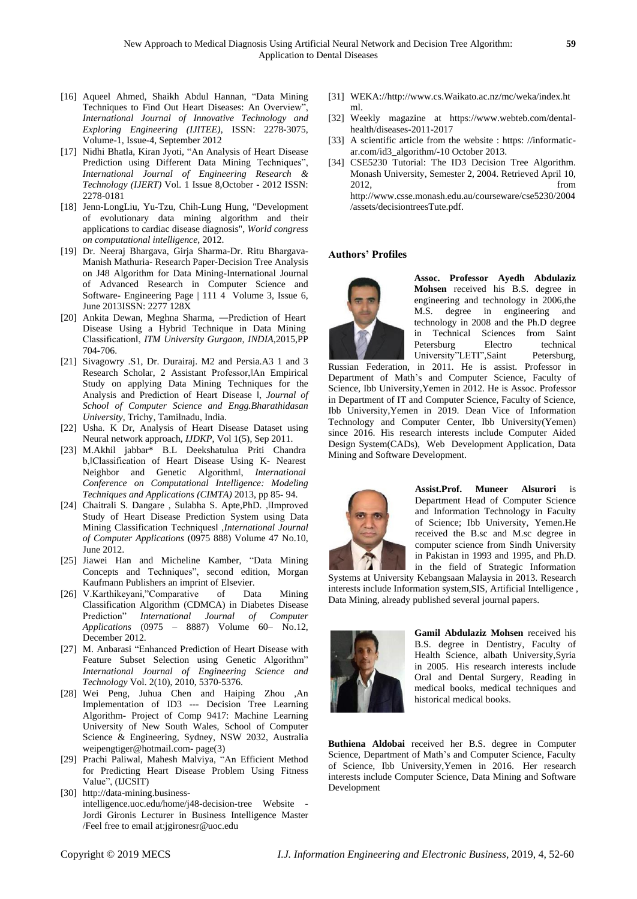- [16] Aqueel Ahmed, Shaikh Abdul Hannan, "Data Mining Techniques to Find Out Heart Diseases: An Overview", *International Journal of Innovative Technology and Exploring Engineering (IJITEE)*, ISSN: 2278-3075, Volume-1, Issue-4, September 2012
- [17] Nidhi Bhatla, Kiran Jyoti, "An Analysis of Heart Disease Prediction using Different Data Mining Techniques", *International Journal of Engineering Research & Technology (IJERT)* Vol. 1 Issue 8,October - 2012 ISSN: 2278-0181
- [18] Jenn-LongLiu, Yu-Tzu, Chih-Lung Hung, "Development of evolutionary data mining algorithm and their applications to cardiac disease diagnosis", *World congress on computational intelligence,* 2012.
- [19] Dr. Neeraj Bhargava, Girja Sharma-Dr. Ritu Bhargava-Manish Mathuria- Research Paper-Decision Tree Analysis on J48 Algorithm for Data Mining-International Journal of Advanced Research in Computer Science and Software- Engineering Page | 111 4 Volume 3, Issue 6, June 2013ISSN: 2277 128X
- [20] Ankita Dewan, Meghna Sharma, -Prediction of Heart Disease Using a Hybrid Technique in Data Mining Classification‖, *ITM University Gurgaon, INDIA*,2015,PP 704-706.
- [21] Sivagowry .S1, Dr. Durairaj. M2 and Persia.A3 1 and 3 Research Scholar, 2 Assistant Professor, An Empirical Study on applying Data Mining Techniques for the Analysis and Prediction of Heart Disease ‖, *Journal of School of Computer Science and Engg.Bharathidasan University*, Trichy, Tamilnadu, India.
- [22] Usha. K Dr, Analysis of Heart Disease Dataset using Neural network approach, *IJDKP*, Vol 1(5), Sep 2011.
- [23] M.Akhil jabbar\* B.L Deekshatulua Priti Chandra b, Classification of Heart Disease Using K- Nearest Neighbor and Genetic Algorithm‖, *International Conference on Computational Intelligence: Modeling Techniques and Applications (CIMTA)* 2013, pp 85- 94.
- [24] Chaitrali S. Dangare, Sulabha S. Apte, PhD. , IImproved Study of Heart Disease Prediction System using Data Mining Classification Techniques‖ ,*International Journal of Computer Applications* (0975 888) Volume 47 No.10, June 2012.
- [25] Jiawei Han and Micheline Kamber, "Data Mining Concepts and Techniques", second edition, Morgan Kaufmann Publishers an imprint of Elsevier.
- [26] V.Karthikeyani,"Comparative of Data Mining Classification Algorithm (CDMCA) in Diabetes Disease Prediction" *International Journal of Computer Applications* (0975 – 8887) Volume 60– No.12, December 2012.
- [27] M. Anbarasi "Enhanced Prediction of Heart Disease with Feature Subset Selection using Genetic Algorithm" *International Journal of Engineering Science and Technology* Vol. 2(10), 2010, 5370-5376.
- [28] Wei Peng, Juhua Chen and Haiping Zhou ,An Implementation of ID3 --- Decision Tree Learning Algorithm- Project of Comp 9417: Machine Learning University of New South Wales, School of Computer Science & Engineering, Sydney, NSW 2032, Australia [weipengtiger@hotmail.com-](mailto:weipengtiger@hotmail.com-%20page(3)) page(3)
- [29] Prachi Paliwal, Mahesh Malviya, "An Efficient Method for Predicting Heart Disease Problem Using Fitness Value", (IJCSIT)
- [30] http://data-mining.businessintelligence.uoc.edu/home/j48-decision-tree Website - Jordi Gironis Lecturer in Business Intelligence Master /Feel free to email at[:jgironesr@uoc.edu](mailto:jgironesr@uoc.edu)
- [31] WEKA:/[/http://www.cs.Waikato.ac.nz/mc/weka/index.ht](http://www.cs.waikato.ac.nz/mc/weka/index.html) [ml.](http://www.cs.waikato.ac.nz/mc/weka/index.html)
- [32] Weekly magazine at [https://www.webteb.com/dental](https://www.webteb.com/dental-health/diseases-2011-2017)[health/diseases-2011-2017](https://www.webteb.com/dental-health/diseases-2011-2017)
- [33] A scientific article from the website : https: //informaticar.com/id3\_algorithm/-10 October 2013.
- [34] CSE5230 Tutorial: The ID3 Decision Tree Algorithm. Monash University, Semester 2, 2004. Retrieved April 10, 2012, from [http://www.csse.monash.edu.au/courseware/cse5230/2004](http://www.csse.monash.edu.au/courseware/cse5230/2004/assets/decisiontreesTute.pdf) [/assets/decisiontreesTute.pdf.](http://www.csse.monash.edu.au/courseware/cse5230/2004/assets/decisiontreesTute.pdf)

#### **Authors' Profiles**



**Assoc. Professor Ayedh Abdulaziz Mohsen** received his B.S. degree in engineering and technology in 2006,the M.S. degree in engineering and technology in 2008 and the Ph.D degree in Technical Sciences from Saint<br>Petersburg Electro technical Petersburg Electro technical University"LETI",Saint Petersburg,

Russian Federation, in 2011. He is assist. Professor in Department of Math's and Computer Science, Faculty of Science, Ibb University,Yemen in 2012. He is Assoc. Professor in Department of IT and Computer Science, Faculty of Science, Ibb University,Yemen in 2019. Dean Vice of Information Technology and Computer Center, Ibb University(Yemen) since 2016. His research interests include Computer Aided Design System(CADs), Web Development Application, Data Mining and Software Development.



**Assist.Prof. Muneer Alsurori** is Department Head of Computer Science and Information Technology in Faculty of Science; Ibb University, Yemen.He received the B.sc and M.sc degree in computer science from Sindh University in Pakistan in 1993 and 1995, and Ph.D. in the field of Strategic Information

Systems at University Kebangsaan Malaysia in 2013. Research interests include Information system,SIS, Artificial Intelligence , Data Mining, already published several journal papers.



**Gamil Abdulaziz Mohsen** received his B.S. degree in Dentistry, Faculty of Health Science, albath University,Syria in 2005. His research interests include Oral and Dental Surgery, Reading in medical books, medical techniques and historical medical books.

**Buthiena Aldobai** received her B.S. degree in Computer Science, Department of Math's and Computer Science, Faculty of Science, Ibb University,Yemen in 2016. Her research interests include Computer Science, Data Mining and Software Development